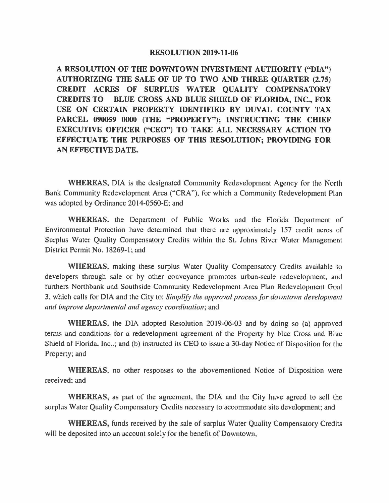## **RESOLUTION 2019-11-06**

**A RESOLUTION OF THE DOWNTOWN INVESTMENT AUTHORITY ("DIA") AUTHORIZING THE SALE OF UP TO TWO AND THREE QUARTER (2.75) CREDIT ACRES OF SURPLUS WATER QUALITY COMPENSATORY CREDITS TO BLUE CROSS AND BLUE SHIELD OF FLORIDA, INC., FOR USE ON CERTAIN PROPERTY IDENTIFIED BY DUVAL COUNTY TAX PARCEL 090059 0000 (THE "PROPERTY"); INSTRUCTING THE CHIEF EXECUTIVE OFFICER ("CEO") TO TAKE ALL NECESSARY ACTION TO EFFECTUATE THE PURPOSES OF THIS RESOLUTION; PROVIDING FOR AN EFFECTIVE DATE.** 

**WHEREAS,** DIA is the designated Community Redevelopment Agency for the North Bank Community Redevelopment Area ("CRA"), for which a Community Redevelopment Plan was adopted by Ordinance 2014-0560-E; and

**WHEREAS,** the Department of Public Works and the Florida Department of Environmental Protection have determined that there are approximately 157 credit acres of Surplus Water Quality Compensatory Credits within the St. Johns River Water Management District Permit No. 18269-1; and

**WHEREAS,** making these surplus Water Quality Compensatory Credits available to developers through sale or by other conveyance promotes urban-scale redevelopment, and furthers Northbank and Southside Community Redevelopment Area Plan Redevelopment Goal 3, which calls for DIA and the City to: *Simplify the approval process for downtown development and improve departmental and agency coordination;* and

**WHEREAS,** the DIA adopted Resolution 2019-06-03 and by doing so (a) approved terms and conditions for a redevelopment agreement of the Property by blue Cross and Blue Shield of Florida, Inc..; and (b) instructed its CEO to issue a 30-day Notice of Disposition for the Property; and

**WHEREAS,** no other responses to the abovementioned Notice of Disposition were received; and

**WHEREAS,** as part of the agreement, the DIA and the City have agreed to sell the surplus Water Quality Compensatory Credits necessary to accommodate site development; and

**WHEREAS,** funds received by the sale of surplus Water Quality Compensatory Credits will be deposited into an account solely for the benefit of Downtown,